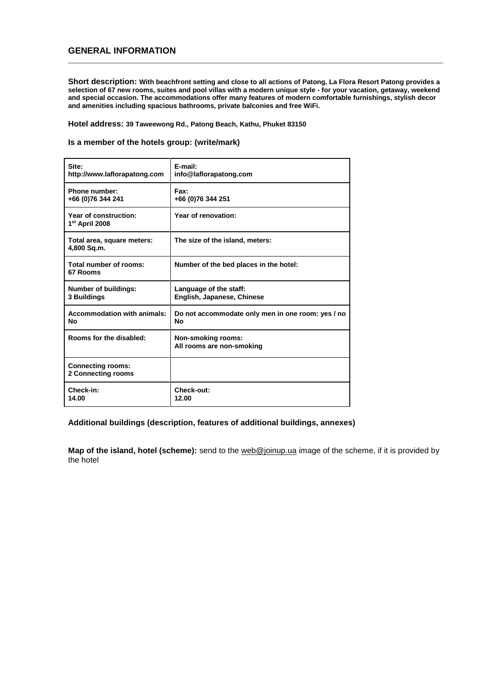### **GENERAL INFORMATION**

**Short description: With beachfront setting and close to all actions of Patong, La Flora Resort Patong provides a selection of 67 new rooms, suites and pool villas with a modern unique style - for your vacation, getaway, weekend and special occasion. The accommodations offer many features of modern comfortable furnishings, stylish decor and amenities including spacious bathrooms, private balconies and free WiFi.**

**Hotel address: 39 Taweewong Rd., Patong Beach, Kathu, Phuket 83150**

#### **Is a member of the hotels group: (write/mark)**

| Site:<br>http://www.laflorapatong.com               | E-mail:<br>info@laflorapatong.com                       |
|-----------------------------------------------------|---------------------------------------------------------|
| Phone number:<br>+66 (0)76 344 241                  | Fax:<br>+66 (0)76 344 251                               |
| Year of construction:<br>1 <sup>st</sup> April 2008 | Year of renovation:                                     |
| Total area, square meters:<br>4,800 Sq.m.           | The size of the island, meters:                         |
| Total number of rooms:<br>67 Rooms                  | Number of the bed places in the hotel:                  |
| <b>Number of buildings:</b><br>3 Buildings          | Language of the staff:<br>English, Japanese, Chinese    |
| <b>Accommodation with animals:</b><br>Nο            | Do not accommodate only men in one room: yes / no<br>No |
| Rooms for the disabled:                             | <b>Non-smoking rooms:</b><br>All rooms are non-smoking  |
| <b>Connecting rooms:</b><br>2 Connecting rooms      |                                                         |
| Check-in:<br>14.00                                  | Check-out:<br>12.00                                     |

#### **Additional buildings (description, features of additional buildings, annexes)**

**Map of the island, hotel (scheme):** send to the [web@joinup.ua](mailto:web@joinup.ua) image of the scheme, if it is provided by the hotel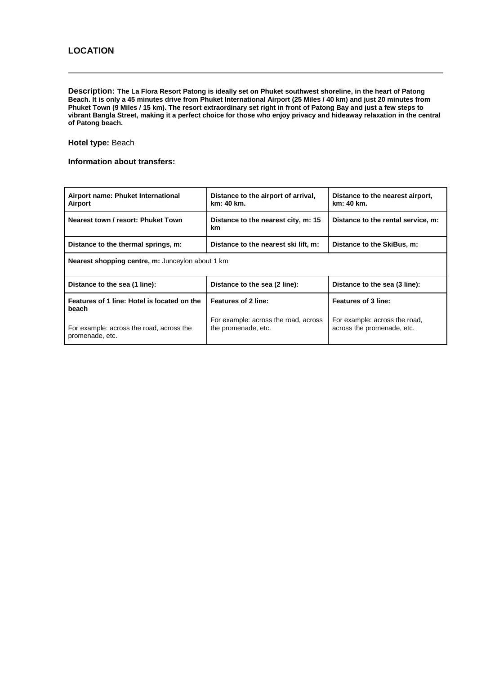**Description: The La Flora Resort Patong is ideally set on Phuket southwest shoreline, in the heart of Patong Beach. It is only a 45 minutes drive from Phuket International Airport (25 Miles / 40 km) and just 20 minutes from Phuket Town (9 Miles / 15 km). The resort extraordinary set right in front of Patong Bay and just a few steps to vibrant Bangla Street, making it a perfect choice for those who enjoy privacy and hideaway relaxation in the central of Patong beach.**

**Hotel type:** Beach

#### **Information about transfers:**

| Airport name: Phuket International<br>Airport               | Distance to the airport of arrival,<br>km: 40 km.           | Distance to the nearest airport,<br>km: 40 km.              |
|-------------------------------------------------------------|-------------------------------------------------------------|-------------------------------------------------------------|
| Nearest town / resort: Phuket Town                          | Distance to the nearest city, m: 15<br>km.                  | Distance to the rental service, m:                          |
| Distance to the thermal springs, m:                         | Distance to the nearest ski lift, m:                        | Distance to the SkiBus, m:                                  |
| <b>Nearest shopping centre, m:</b> Junceylon about 1 km     |                                                             |                                                             |
| Distance to the sea (1 line):                               | Distance to the sea (2 line):                               | Distance to the sea (3 line):                               |
| Features of 1 line: Hotel is located on the<br>beach        | Features of 2 line:                                         | Features of 3 line:                                         |
| For example: across the road, across the<br>promenade, etc. | For example: across the road, across<br>the promenade, etc. | For example: across the road,<br>across the promenade, etc. |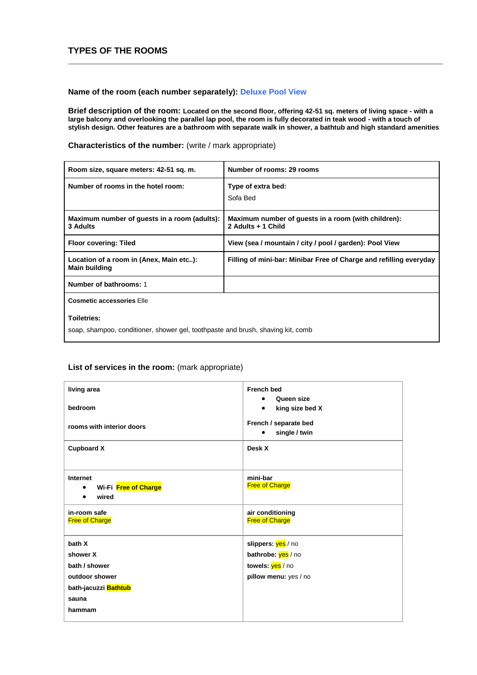## **TYPES OF THE ROOMS**

### **Name of the room (each number separately): Deluxe Pool View**

**Brief description of the room: Located on the second floor, offering 42-51 sq. meters of living space - with a large balcony and overlooking the parallel lap pool, the room is fully decorated in teak wood - with a touch of stylish design. Other features are a bathroom with separate walk in shower, a bathtub and high standard amenities**

**Characteristics of the number:** (write / mark appropriate)

| Room size, square meters: 42-51 sq. m.                                                                | Number of rooms: 29 rooms                                                 |
|-------------------------------------------------------------------------------------------------------|---------------------------------------------------------------------------|
| Number of rooms in the hotel room:                                                                    | Type of extra bed:<br>Sofa Bed                                            |
| Maximum number of guests in a room (adults):<br>3 Adults                                              | Maximum number of guests in a room (with children):<br>2 Adults + 1 Child |
| <b>Floor covering: Tiled</b>                                                                          | View (sea / mountain / city / pool / garden): Pool View                   |
| Location of a room in (Anex, Main etc):<br><b>Main building</b>                                       | Filling of mini-bar: Minibar Free of Charge and refilling everyday        |
| Number of bathrooms: 1                                                                                |                                                                           |
| <b>Cosmetic accessories Elle</b>                                                                      |                                                                           |
| <b>Toiletries:</b><br>soap, shampoo, conditioner, shower gel, toothpaste and brush, shaving kit, comb |                                                                           |

| living area                                             | <b>French bed</b>                           |
|---------------------------------------------------------|---------------------------------------------|
| bedroom                                                 | Queen size<br>king size bed X<br>$\bullet$  |
| rooms with interior doors                               | French / separate bed<br>single / twin<br>٠ |
| <b>Cupboard X</b>                                       | Desk X                                      |
|                                                         |                                             |
| Internet                                                | mini-bar<br><b>Free of Charge</b>           |
| Wi-Fi Free of Charge<br>$\bullet$<br>wired<br>$\bullet$ |                                             |
| in-room safe<br><b>Free of Charge</b>                   | air conditioning<br><b>Free of Charge</b>   |
| bath X                                                  | slippers: yes / no                          |
| shower X                                                | bathrobe: yes / no                          |
| bath / shower                                           | towels: yes / no                            |
| outdoor shower                                          | pillow menu: yes / no                       |
| bath-jacuzzi <mark>Bathtub</mark>                       |                                             |
| sauna                                                   |                                             |
| hammam                                                  |                                             |
|                                                         |                                             |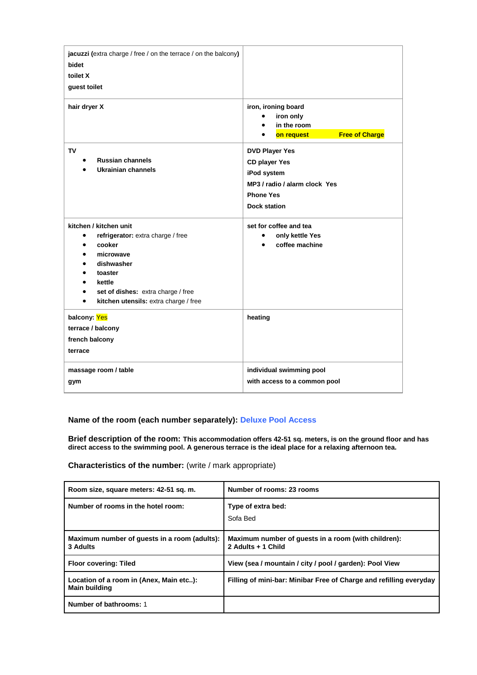| jacuzzi (extra charge / free / on the terrace / on the balcony)<br>bidet<br>toilet X<br>guest toilet                                                                                                              |                                                                                                                                          |
|-------------------------------------------------------------------------------------------------------------------------------------------------------------------------------------------------------------------|------------------------------------------------------------------------------------------------------------------------------------------|
| hair dryer X                                                                                                                                                                                                      | iron, ironing board<br>iron only<br>in the room<br><b>Free of Charge</b><br>on request                                                   |
| <b>TV</b><br><b>Russian channels</b><br>$\bullet$<br><b>Ukrainian channels</b>                                                                                                                                    | <b>DVD Player Yes</b><br><b>CD player Yes</b><br>iPod system<br>MP3 / radio / alarm clock Yes<br><b>Phone Yes</b><br><b>Dock station</b> |
| kitchen / kitchen unit<br>refrigerator: extra charge / free<br>cooker<br>microwave<br>dishwasher<br>toaster<br>kettle<br>set of dishes: extra charge / free<br>kitchen utensils: extra charge / free<br>$\bullet$ | set for coffee and tea<br>only kettle Yes<br>coffee machine                                                                              |
| balcony: Yes<br>terrace / balcony<br>french balcony<br>terrace                                                                                                                                                    | heating                                                                                                                                  |
| massage room / table<br>gym                                                                                                                                                                                       | individual swimming pool<br>with access to a common pool                                                                                 |

### **Name of the room (each number separately): Deluxe Pool Access**

**Brief description of the room: This accommodation offers 42-51 sq. meters, is on the ground floor and has direct access to the swimming pool. A generous terrace is the ideal place for a relaxing afternoon tea.**

**Characteristics of the number:** (write / mark appropriate)

| Room size, square meters: 42-51 sq. m.                          | Number of rooms: 23 rooms                                                 |
|-----------------------------------------------------------------|---------------------------------------------------------------------------|
| Number of rooms in the hotel room:                              | Type of extra bed:<br>Sofa Bed                                            |
| Maximum number of quests in a room (adults):<br>3 Adults        | Maximum number of guests in a room (with children):<br>2 Adults + 1 Child |
| <b>Floor covering: Tiled</b>                                    | View (sea / mountain / city / pool / garden): Pool View                   |
| Location of a room in (Anex, Main etc):<br><b>Main building</b> | Filling of mini-bar: Minibar Free of Charge and refilling everyday        |
| Number of bathrooms: 1                                          |                                                                           |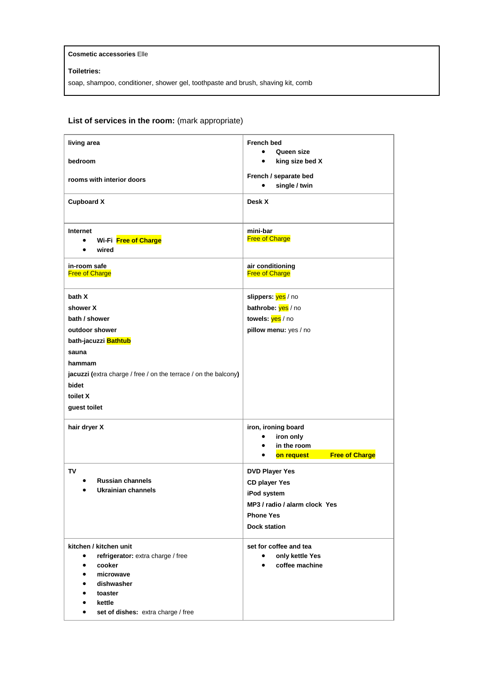#### **Cosmetic accessories** Elle

### **Toiletries:**

soap, shampoo, conditioner, shower gel, toothpaste and brush, shaving kit, comb

| living area                                                         | <b>French bed</b>                         |
|---------------------------------------------------------------------|-------------------------------------------|
| bedroom                                                             | Queen size<br>king size bed X             |
| rooms with interior doors                                           | French / separate bed                     |
|                                                                     | single / twin<br>$\bullet$                |
| <b>Cupboard X</b>                                                   | Desk X                                    |
| Internet<br>Wi-Fi Free of Charge<br>$\bullet$<br>wired<br>$\bullet$ | mini-bar<br><b>Free of Charge</b>         |
| in-room safe<br><b>Free of Charge</b>                               | air conditioning<br><b>Free of Charge</b> |
| bath X                                                              | slippers: yes / no                        |
| shower X                                                            | bathrobe: yes / no                        |
| bath / shower                                                       | towels: yes / no                          |
| outdoor shower                                                      | pillow menu: yes / no                     |
| bath-jacuzzi Bathtub                                                |                                           |
| sauna                                                               |                                           |
| hammam                                                              |                                           |
| jacuzzi (extra charge / free / on the terrace / on the balcony)     |                                           |
| bidet                                                               |                                           |
| toilet X                                                            |                                           |
| guest toilet                                                        |                                           |
| hair dryer X                                                        | iron, ironing board                       |
|                                                                     | iron only<br>$\bullet$                    |
|                                                                     | in the room<br>$\bullet$                  |
|                                                                     | <b>Free of Charge</b><br>on request<br>٠  |
| <b>TV</b>                                                           | <b>DVD Player Yes</b>                     |
| <b>Russian channels</b>                                             | <b>CD player Yes</b>                      |
| Ukrainian channels                                                  | iPod system                               |
|                                                                     | MP3 / radio / alarm clock Yes             |
|                                                                     | <b>Phone Yes</b>                          |
|                                                                     | <b>Dock station</b>                       |
| kitchen / kitchen unit                                              | set for coffee and tea                    |
| refrigerator: extra charge / free                                   | only kettle Yes<br>$\bullet$              |
| cooker                                                              | coffee machine                            |
| microwave                                                           |                                           |
|                                                                     |                                           |
| dishwasher                                                          |                                           |
| toaster<br>kettle                                                   |                                           |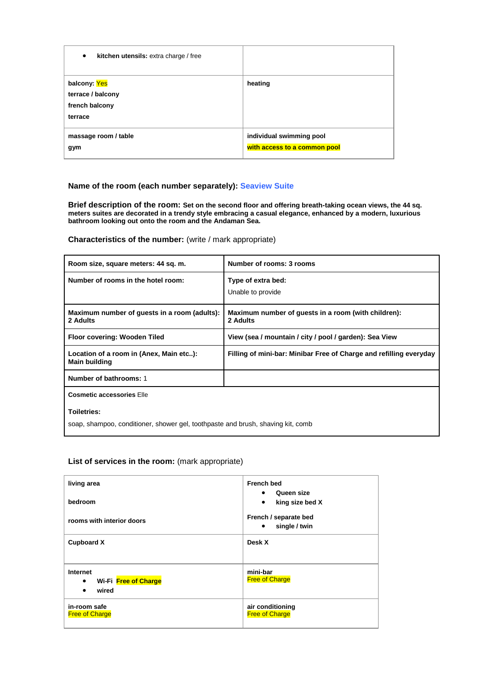| kitchen utensils: extra charge / free<br>$\bullet$             |                                                          |
|----------------------------------------------------------------|----------------------------------------------------------|
| balcony: Yes<br>terrace / balcony<br>french balcony<br>terrace | heating                                                  |
| massage room / table<br>gym                                    | individual swimming pool<br>with access to a common pool |

#### **Name of the room (each number separately): Seaview Suite**

**Brief description of the room: Set on the second floor and offering breath-taking ocean views, the 44 sq. meters suites are decorated in a trendy style embracing a casual elegance, enhanced by a modern, luxurious bathroom looking out onto the room and the Andaman Sea.**

**Characteristics of the number:** (write / mark appropriate)

| Room size, square meters: 44 sq. m.                                                            | Number of rooms: 3 rooms                                           |
|------------------------------------------------------------------------------------------------|--------------------------------------------------------------------|
| Number of rooms in the hotel room:                                                             | Type of extra bed:<br>Unable to provide                            |
| Maximum number of guests in a room (adults):<br>2 Adults                                       | Maximum number of guests in a room (with children):<br>2 Adults    |
| Floor covering: Wooden Tiled                                                                   | View (sea / mountain / city / pool / garden): Sea View             |
| Location of a room in (Anex, Main etc):<br><b>Main building</b>                                | Filling of mini-bar: Minibar Free of Charge and refilling everyday |
| Number of bathrooms: 1                                                                         |                                                                    |
| <b>Cosmetic accessories Elle</b>                                                               |                                                                    |
| Toiletries:<br>soap, shampoo, conditioner, shower gel, toothpaste and brush, shaving kit, comb |                                                                    |

| living area                                                 | <b>French bed</b>                                       |
|-------------------------------------------------------------|---------------------------------------------------------|
| bedroom                                                     | Queen size<br>$\bullet$<br>king size bed X<br>$\bullet$ |
| rooms with interior doors                                   | French / separate bed<br>single / twin<br>٠             |
| <b>Cupboard X</b>                                           | Desk X                                                  |
| Internet<br>Wi-Fi Free of Charge<br>$\bullet$<br>wired<br>٠ | mini-bar<br><b>Free of Charge</b>                       |
| in-room safe<br><b>Free of Charge</b>                       | air conditioning<br><b>Free of Charge</b>               |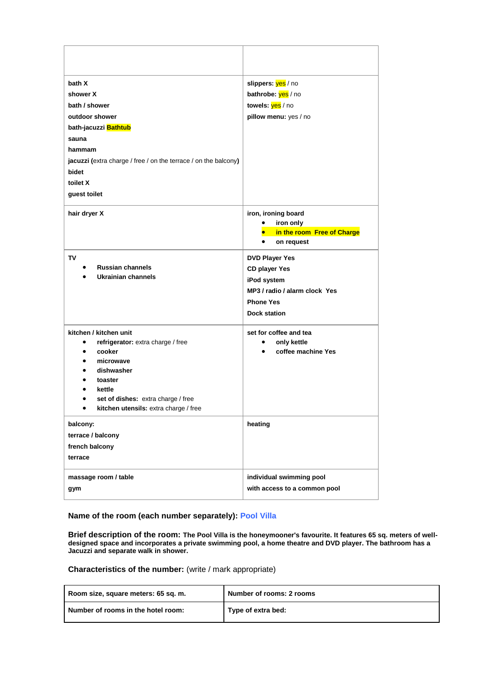| bath X<br>shower X<br>bath / shower<br>outdoor shower<br>bath-jacuzzi Bathtub<br>sauna<br>hammam<br><b>jacuzzi</b> (extra charge / free / on the terrace / on the balcony)<br>bidet<br>toilet X<br>guest toilet                          | slippers: yes / no<br>bathrobe: yes / no<br>towels: yes / no<br>pillow menu: yes / no                                                    |
|------------------------------------------------------------------------------------------------------------------------------------------------------------------------------------------------------------------------------------------|------------------------------------------------------------------------------------------------------------------------------------------|
| hair dryer X                                                                                                                                                                                                                             | iron, ironing board<br>iron only<br>in the room Free of Charge<br>on request<br>٠                                                        |
| TV<br><b>Russian channels</b><br>Ukrainian channels                                                                                                                                                                                      | <b>DVD Player Yes</b><br><b>CD player Yes</b><br>iPod system<br>MP3 / radio / alarm clock Yes<br><b>Phone Yes</b><br><b>Dock station</b> |
| kitchen / kitchen unit<br>refrigerator: extra charge / free<br>$\bullet$<br>cooker<br>٠<br>microwave<br>dishwasher<br>toaster<br>kettle<br>set of dishes: extra charge / free<br>$\bullet$<br>kitchen utensils: extra charge / free<br>٠ | set for coffee and tea<br>only kettle<br>$\bullet$<br>coffee machine Yes<br>$\bullet$                                                    |
| balcony:<br>terrace / balcony<br>french balcony<br>terrace                                                                                                                                                                               | heating                                                                                                                                  |
| massage room / table<br>gym                                                                                                                                                                                                              | individual swimming pool<br>with access to a common pool                                                                                 |

#### **Name of the room (each number separately): Pool Villa**

**Brief description of the room: The Pool Villa is the honeymooner's favourite. It features 65 sq. meters of welldesigned space and incorporates a private swimming pool, a home theatre and DVD player. The bathroom has a Jacuzzi and separate walk in shower.**

#### **Characteristics of the number:** (write / mark appropriate)

| Room size, square meters: 65 sq. m. | Number of rooms: 2 rooms |
|-------------------------------------|--------------------------|
| Number of rooms in the hotel room:  | Type of extra bed:       |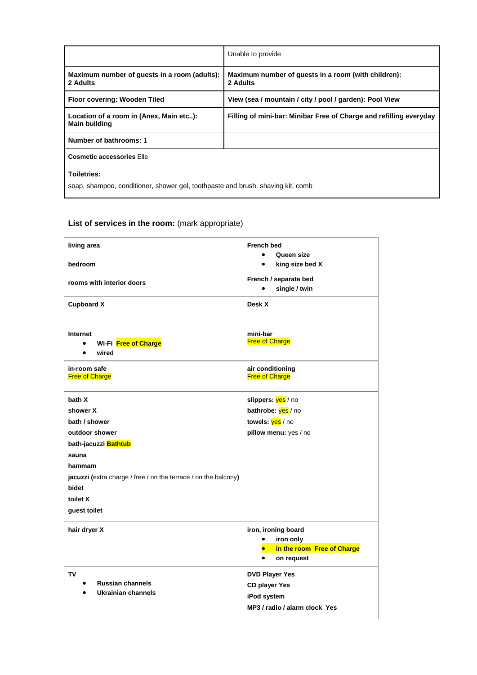|                                                                                                | Unable to provide                                                  |
|------------------------------------------------------------------------------------------------|--------------------------------------------------------------------|
| Maximum number of guests in a room (adults):<br>2 Adults                                       | Maximum number of guests in a room (with children):<br>2 Adults    |
| Floor covering: Wooden Tiled                                                                   | View (sea / mountain / city / pool / garden): Pool View            |
| Location of a room in (Anex, Main etc):<br><b>Main building</b>                                | Filling of mini-bar: Minibar Free of Charge and refilling everyday |
| Number of bathrooms: 1                                                                         |                                                                    |
| <b>Cosmetic accessories Elle</b>                                                               |                                                                    |
| Toiletries:<br>soap, shampoo, conditioner, shower gel, toothpaste and brush, shaving kit, comb |                                                                    |

| living area                                                     | <b>French bed</b>                       |
|-----------------------------------------------------------------|-----------------------------------------|
|                                                                 | Queen size                              |
| bedroom                                                         | king size bed X<br>$\bullet$            |
| rooms with interior doors                                       | French / separate bed                   |
|                                                                 | single / twin<br>$\bullet$              |
| <b>Cupboard X</b>                                               | Desk X                                  |
| Internet                                                        | mini-bar                                |
| Wi-Fi Free of Charge<br>$\bullet$                               | <b>Free of Charge</b>                   |
| wired                                                           |                                         |
| in-room safe                                                    | air conditioning                        |
| <b>Free of Charge</b>                                           | <b>Free of Charge</b>                   |
|                                                                 |                                         |
| bath X                                                          | slippers: yes / no                      |
| shower X                                                        | bathrobe: yes / no                      |
| bath / shower                                                   | towels: yes / no                        |
| outdoor shower                                                  | pillow menu: yes / no                   |
| bath-jacuzzi Bathtub                                            |                                         |
| sauna                                                           |                                         |
| hammam                                                          |                                         |
| jacuzzi (extra charge / free / on the terrace / on the balcony) |                                         |
| bidet                                                           |                                         |
| toilet X                                                        |                                         |
| guest toilet                                                    |                                         |
|                                                                 |                                         |
| hair dryer X                                                    | iron, ironing board                     |
|                                                                 | $\bullet$<br>iron only                  |
|                                                                 | in the room Free of Charge<br>$\bullet$ |
|                                                                 | on request<br>$\bullet$                 |
| TV                                                              | <b>DVD Player Yes</b>                   |
| <b>Russian channels</b>                                         | <b>CD player Yes</b>                    |
| <b>Ukrainian channels</b>                                       | iPod system                             |
|                                                                 | MP3 / radio / alarm clock Yes           |
|                                                                 |                                         |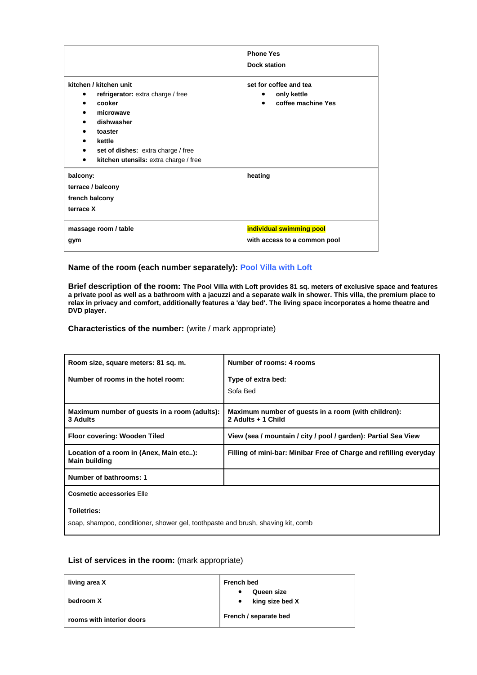|                                                                                                                                                                                                           | <b>Phone Yes</b><br><b>Dock station</b>                                               |
|-----------------------------------------------------------------------------------------------------------------------------------------------------------------------------------------------------------|---------------------------------------------------------------------------------------|
| kitchen / kitchen unit<br>refrigerator: extra charge / free<br>٠<br>cooker<br>microwave<br>dishwasher<br>toaster<br>kettle<br>set of dishes: extra charge / free<br>kitchen utensils: extra charge / free | set for coffee and tea<br>only kettle<br>$\bullet$<br>coffee machine Yes<br>$\bullet$ |
| balcony:<br>terrace / balcony<br>french balcony<br>terrace X                                                                                                                                              | heating                                                                               |
| massage room / table<br>gym                                                                                                                                                                               | individual swimming pool<br>with access to a common pool                              |

#### **Name of the room (each number separately): Pool Villa with Loft**

**Brief description of the room: The Pool Villa with Loft provides 81 sq. meters of exclusive space and features a private pool as well as a bathroom with a jacuzzi and a separate walk in shower. This villa, the premium place to relax in privacy and comfort, additionally features a 'day bed'. The living space incorporates a home theatre and DVD player.**

**Characteristics of the number:** (write / mark appropriate)

| Room size, square meters: 81 sq. m.                             | Number of rooms: 4 rooms                                                  |
|-----------------------------------------------------------------|---------------------------------------------------------------------------|
| Number of rooms in the hotel room:                              | Type of extra bed:<br>Sofa Bed                                            |
| Maximum number of guests in a room (adults):<br>3 Adults        | Maximum number of guests in a room (with children):<br>2 Adults + 1 Child |
| Floor covering: Wooden Tiled                                    | View (sea / mountain / city / pool / garden): Partial Sea View            |
| Location of a room in (Anex, Main etc):<br><b>Main building</b> | Filling of mini-bar: Minibar Free of Charge and refilling everyday        |
| Number of bathrooms: 1                                          |                                                                           |
| <b>Cosmetic accessories Elle</b>                                |                                                                           |
| Toiletries:                                                     |                                                                           |

soap, shampoo, conditioner, shower gel, toothpaste and brush, shaving kit, comb

| living area X             | <b>French bed</b>                               |
|---------------------------|-------------------------------------------------|
| bedroom X                 | Queen size<br>٠<br>king size bed X<br>$\bullet$ |
| rooms with interior doors | French / separate bed                           |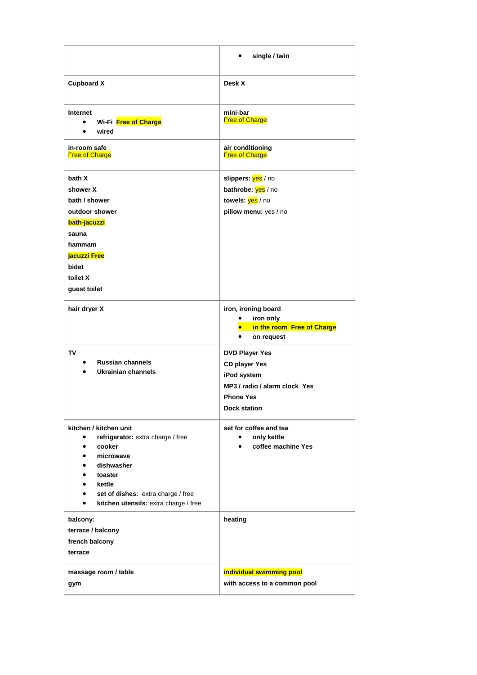|                                                                                                                                                                                                                                                                                                              | single / twin                                                                                                                            |
|--------------------------------------------------------------------------------------------------------------------------------------------------------------------------------------------------------------------------------------------------------------------------------------------------------------|------------------------------------------------------------------------------------------------------------------------------------------|
| <b>Cupboard X</b>                                                                                                                                                                                                                                                                                            | Desk X                                                                                                                                   |
| Internet<br>Wi-Fi Free of Charge<br>wired<br>٠                                                                                                                                                                                                                                                               | mini-bar<br><b>Free of Charge</b>                                                                                                        |
| in-room safe<br><b>Free of Charge</b>                                                                                                                                                                                                                                                                        | air conditioning<br><b>Free of Charge</b>                                                                                                |
| bath X<br>shower X<br>bath / shower                                                                                                                                                                                                                                                                          | slippers: yes / no<br>bathrobe: yes / no<br>towels: yes / no                                                                             |
| outdoor shower<br>bath-jacuzzi<br>sauna                                                                                                                                                                                                                                                                      | pillow menu: yes / no                                                                                                                    |
| hammam<br>jacuzzi Free<br>bidet<br>toilet X<br>guest toilet                                                                                                                                                                                                                                                  |                                                                                                                                          |
| hair dryer X                                                                                                                                                                                                                                                                                                 | iron, ironing board<br>iron only<br>in the room Free of Charge<br>on request<br>$\bullet$                                                |
| TV<br><b>Russian channels</b><br>Ukrainian channels                                                                                                                                                                                                                                                          | <b>DVD Player Yes</b><br><b>CD player Yes</b><br>iPod system<br>MP3 / radio / alarm clock Yes<br><b>Phone Yes</b><br><b>Dock station</b> |
| kitchen / kitchen unit<br>refrigerator: extra charge / free<br>$\bullet$<br>cooker<br>$\bullet$<br>microwave<br>$\bullet$<br>dishwasher<br>$\bullet$<br>toaster<br>$\bullet$<br>kettle<br>$\bullet$<br>set of dishes: extra charge / free<br>$\bullet$<br>kitchen utensils: extra charge / free<br>$\bullet$ | set for coffee and tea<br>only kettle<br>$\bullet$<br>coffee machine Yes<br>$\bullet$                                                    |
| balcony:<br>terrace / balcony<br>french balcony<br>terrace                                                                                                                                                                                                                                                   | heating                                                                                                                                  |
| massage room / table<br>gym                                                                                                                                                                                                                                                                                  | individual swimming pool<br>with access to a common pool                                                                                 |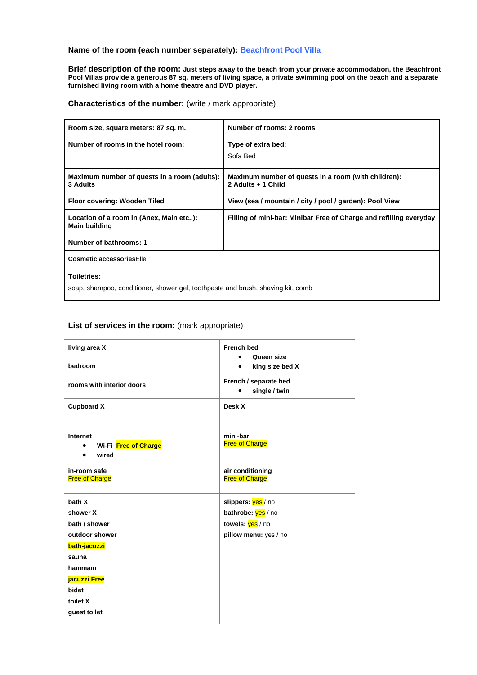### **Name of the room (each number separately): Beachfront Pool Villa**

**Brief description of the room: Just steps away to the beach from your private accommodation, the Beachfront Pool Villas provide a generous 87 sq. meters of living space, a private swimming pool on the beach and a separate furnished living room with a home theatre and DVD player.**

**Characteristics of the number:** (write / mark appropriate)

| Room size, square meters: 87 sq. m.                                                            | Number of rooms: 2 rooms                                                  |
|------------------------------------------------------------------------------------------------|---------------------------------------------------------------------------|
| Number of rooms in the hotel room:                                                             | Type of extra bed:<br>Sofa Bed                                            |
| Maximum number of guests in a room (adults):<br>3 Adults                                       | Maximum number of guests in a room (with children):<br>2 Adults + 1 Child |
| Floor covering: Wooden Tiled                                                                   | View (sea / mountain / city / pool / garden): Pool View                   |
| Location of a room in (Anex, Main etc):<br><b>Main building</b>                                | Filling of mini-bar: Minibar Free of Charge and refilling everyday        |
| Number of bathrooms: 1                                                                         |                                                                           |
| Cosmetic accessoriesElle                                                                       |                                                                           |
| Toiletries:<br>soap, shampoo, conditioner, shower gel, toothpaste and brush, shaving kit, comb |                                                                           |

| living area X                              | <b>French bed</b><br>Queen size        |
|--------------------------------------------|----------------------------------------|
| bedroom                                    | king size bed X                        |
| rooms with interior doors                  | French / separate bed<br>single / twin |
| <b>Cupboard X</b>                          | Desk X                                 |
|                                            |                                        |
| Internet                                   | mini-bar                               |
| Wi-Fi Free of Charge<br>wired<br>$\bullet$ | <b>Free of Charge</b>                  |
|                                            |                                        |
| in-room safe                               | air conditioning                       |
| <b>Free of Charge</b>                      | <b>Free of Charge</b>                  |
| bath X                                     | slippers: yes / no                     |
| shower X                                   | bathrobe: yes / no                     |
| bath / shower                              | towels: yes / no                       |
| outdoor shower                             | pillow menu: yes / no                  |
| bath-jacuzzi                               |                                        |
| sauna                                      |                                        |
| hammam                                     |                                        |
| jacuzzi Free                               |                                        |
| bidet                                      |                                        |
| toilet X                                   |                                        |
| guest toilet                               |                                        |
|                                            |                                        |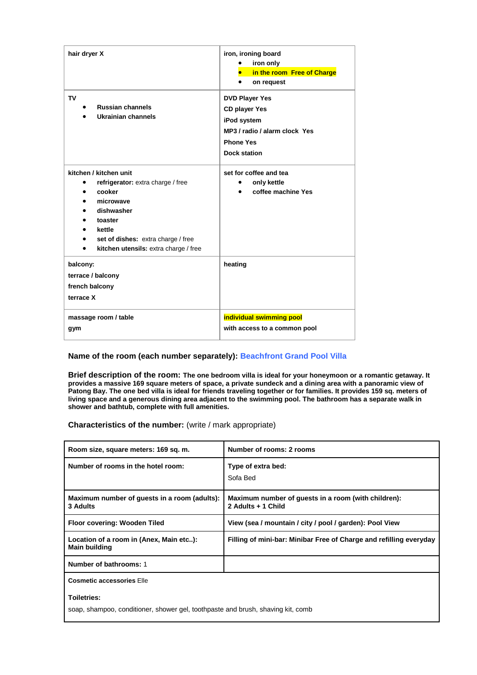| hair dryer X<br>TV                                                                                                                                                                                                | iron, ironing board<br>iron only<br>in the room Free of Charge<br>on request<br>٠<br><b>DVD Player Yes</b>      |
|-------------------------------------------------------------------------------------------------------------------------------------------------------------------------------------------------------------------|-----------------------------------------------------------------------------------------------------------------|
| <b>Russian channels</b><br><b>Ukrainian channels</b>                                                                                                                                                              | <b>CD player Yes</b><br>iPod system<br>MP3 / radio / alarm clock Yes<br><b>Phone Yes</b><br><b>Dock station</b> |
| kitchen / kitchen unit<br>refrigerator: extra charge / free<br>cooker<br>microwave<br>dishwasher<br>toaster<br>kettle<br>set of dishes: extra charge / free<br>kitchen utensils: extra charge / free<br>$\bullet$ | set for coffee and tea<br>only kettle<br>coffee machine Yes                                                     |
| balcony:<br>terrace / balcony<br>french balcony<br>terrace X                                                                                                                                                      | heating                                                                                                         |
| massage room / table<br>gym                                                                                                                                                                                       | individual swimming pool<br>with access to a common pool                                                        |

#### **Name of the room (each number separately): Beachfront Grand Pool Villa**

**Brief description of the room: The one bedroom villa is ideal for your honeymoon or a romantic getaway. It provides a massive 169 square meters of space, a private sundeck and a dining area with a panoramic view of Patong Bay. The one bed villa is ideal for friends traveling together or for families. It provides 159 sq. meters of living space and a generous dining area adjacent to the swimming pool. The bathroom has a separate walk in shower and bathtub, complete with full amenities.**

**Characteristics of the number:** (write / mark appropriate)

| Room size, square meters: 169 sq. m.                            | Number of rooms: 2 rooms                                                  |
|-----------------------------------------------------------------|---------------------------------------------------------------------------|
| Number of rooms in the hotel room:                              | Type of extra bed:<br>Sofa Bed                                            |
| Maximum number of guests in a room (adults):<br>3 Adults        | Maximum number of quests in a room (with children):<br>2 Adults + 1 Child |
| Floor covering: Wooden Tiled                                    | View (sea / mountain / city / pool / garden): Pool View                   |
| Location of a room in (Anex, Main etc):<br><b>Main building</b> | Filling of mini-bar: Minibar Free of Charge and refilling everyday        |
| Number of bathrooms: 1                                          |                                                                           |
|                                                                 |                                                                           |

**Cosmetic accessories** Elle

**Toiletries:**

soap, shampoo, conditioner, shower gel, toothpaste and brush, shaving kit, comb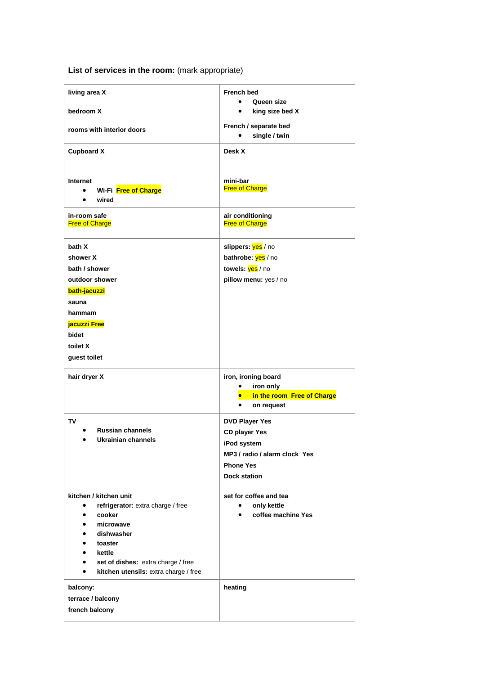| living area X                                                                                                                                                                                                                       | <b>French bed</b><br>Queen size                                                                                                          |
|-------------------------------------------------------------------------------------------------------------------------------------------------------------------------------------------------------------------------------------|------------------------------------------------------------------------------------------------------------------------------------------|
| bedroom X                                                                                                                                                                                                                           | king size bed X                                                                                                                          |
| rooms with interior doors                                                                                                                                                                                                           | French / separate bed<br>single / twin                                                                                                   |
| <b>Cupboard X</b>                                                                                                                                                                                                                   | Desk X                                                                                                                                   |
| Internet<br>Wi-Fi Free of Charge<br>$\bullet$<br>wired<br>$\bullet$                                                                                                                                                                 | mini-bar<br><b>Free of Charge</b>                                                                                                        |
| in-room safe<br><b>Free of Charge</b>                                                                                                                                                                                               | air conditioning<br><b>Free of Charge</b>                                                                                                |
| bath X<br>shower X<br>bath / shower<br>outdoor shower<br>bath-jacuzzi<br>sauna<br>hammam<br>jacuzzi Free<br>bidet<br>toilet X<br>guest toilet                                                                                       | slippers: yes / no<br>bathrobe: yes / no<br>towels: yes / no<br>pillow menu: yes / no                                                    |
| hair dryer X                                                                                                                                                                                                                        | iron, ironing board<br>iron only<br>$\bullet$<br>in the room Free of Charge<br>$\bullet$<br>$\bullet$<br>on request                      |
| <b>TV</b><br><b>Russian channels</b><br>Ukrainian channels                                                                                                                                                                          | <b>DVD Player Yes</b><br><b>CD player Yes</b><br>iPod system<br>MP3 / radio / alarm clock Yes<br><b>Phone Yes</b><br><b>Dock station</b> |
| kitchen / kitchen unit<br>refrigerator: extra charge / free<br>$\bullet$<br>cooker<br>$\bullet$<br>microwave<br>dishwasher<br>toaster<br>kettle<br>set of dishes: extra charge / free<br>kitchen utensils: extra charge / free<br>٠ | set for coffee and tea<br>only kettle<br>coffee machine Yes                                                                              |
| balcony:<br>terrace / balcony<br>french balcony                                                                                                                                                                                     | heating                                                                                                                                  |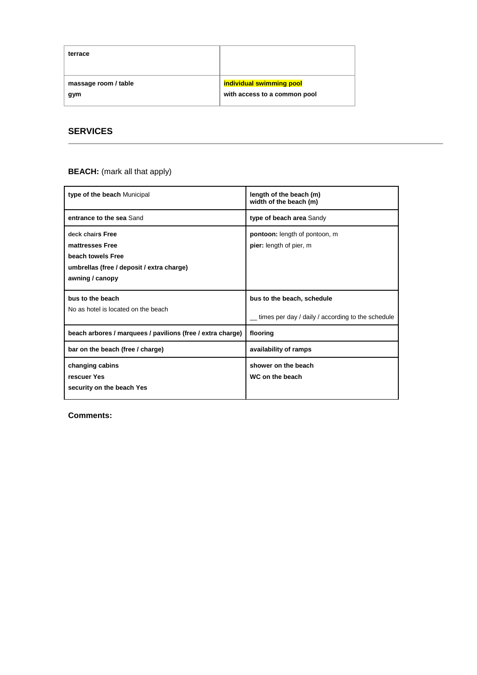| terrace              |                              |
|----------------------|------------------------------|
| massage room / table | individual swimming pool     |
| gym                  | with access to a common pool |

# **SERVICES**

## **BEACH:** (mark all that apply)

| type of the beach Municipal                                                                                              | length of the beach (m)<br>width of the beach (m)                               |
|--------------------------------------------------------------------------------------------------------------------------|---------------------------------------------------------------------------------|
| entrance to the sea Sand                                                                                                 | type of beach area Sandy                                                        |
| deck chairs Free<br>mattresses Free<br>beach towels Free<br>umbrellas (free / deposit / extra charge)<br>awning / canopy | <b>pontoon:</b> length of pontoon, m<br>pier: length of pier, m                 |
| bus to the beach<br>No as hotel is located on the beach                                                                  | bus to the beach, schedule<br>times per day / daily / according to the schedule |
| beach arbores / marquees / pavilions (free / extra charge)                                                               | flooring                                                                        |
| bar on the beach (free / charge)                                                                                         | availability of ramps                                                           |
| changing cabins<br>rescuer Yes<br>security on the beach Yes                                                              | shower on the beach<br>WC on the beach                                          |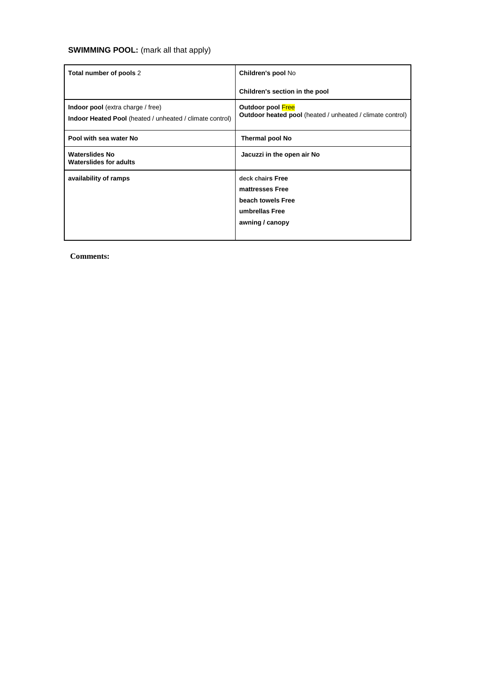# **SWIMMING POOL:** (mark all that apply)

| Total number of pools 2                                                                                     | Children's pool No                                                                            |
|-------------------------------------------------------------------------------------------------------------|-----------------------------------------------------------------------------------------------|
|                                                                                                             | Children's section in the pool                                                                |
| <b>Indoor pool</b> (extra charge / free)<br><b>Indoor Heated Pool</b> (heated / unheated / climate control) | Outdoor pool Free<br>Outdoor heated pool (heated / unheated / climate control)                |
| Pool with sea water No                                                                                      | <b>Thermal pool No</b>                                                                        |
| <b>Waterslides No</b><br><b>Waterslides for adults</b>                                                      | Jacuzzi in the open air No                                                                    |
| availability of ramps                                                                                       | deck chairs Free<br>mattresses Free<br>beach towels Free<br>umbrellas Free<br>awning / canopy |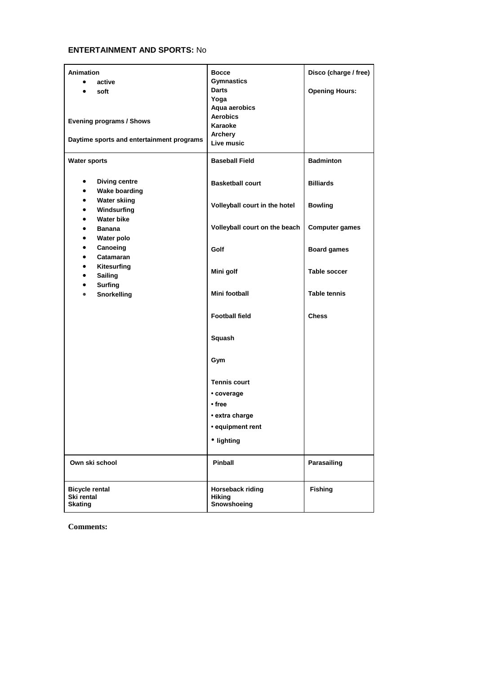# **ENTERTAINMENT AND SPORTS:** No

| <b>Animation</b><br>active<br>$\bullet$<br>soft<br>$\bullet$<br><b>Evening programs / Shows</b><br>Daytime sports and entertainment programs | <b>Bocce</b><br><b>Gymnastics</b><br>Darts<br>Yoga<br>Aqua aerobics<br><b>Aerobics</b><br>Karaoke<br>Archery<br>Live music | Disco (charge / free)<br><b>Opening Hours:</b> |
|----------------------------------------------------------------------------------------------------------------------------------------------|----------------------------------------------------------------------------------------------------------------------------|------------------------------------------------|
| <b>Water sports</b>                                                                                                                          | <b>Baseball Field</b>                                                                                                      | <b>Badminton</b>                               |
| <b>Diving centre</b><br>$\bullet$<br><b>Wake boarding</b><br>$\bullet$                                                                       | <b>Basketball court</b>                                                                                                    | <b>Billiards</b>                               |
| <b>Water skiing</b><br>$\bullet$<br>Windsurfing<br>$\bullet$                                                                                 | Volleyball court in the hotel                                                                                              | <b>Bowling</b>                                 |
| <b>Water bike</b><br>$\bullet$<br><b>Banana</b><br>$\bullet$<br>Water polo<br>$\bullet$                                                      | Volleyball court on the beach                                                                                              | <b>Computer games</b>                          |
| Canoeing<br>$\bullet$<br>Catamaran<br>$\bullet$                                                                                              | Golf                                                                                                                       | <b>Board games</b>                             |
| Kitesurfing<br>$\bullet$<br><b>Sailing</b><br>$\bullet$<br><b>Surfing</b><br>$\bullet$<br><b>Snorkelling</b><br>$\bullet$                    | Mini golf                                                                                                                  | <b>Table soccer</b>                            |
|                                                                                                                                              | Mini football                                                                                                              | <b>Table tennis</b>                            |
|                                                                                                                                              | <b>Football field</b>                                                                                                      | <b>Chess</b>                                   |
|                                                                                                                                              | Squash                                                                                                                     |                                                |
|                                                                                                                                              | Gym                                                                                                                        |                                                |
|                                                                                                                                              | <b>Tennis court</b><br>• coverage<br>• free<br>• extra charge<br>· equipment rent<br>• lighting                            |                                                |
| Own ski school                                                                                                                               | Pinball                                                                                                                    | Parasailing                                    |
| <b>Bicycle rental</b><br>Ski rental<br><b>Skating</b>                                                                                        | Horseback riding<br><b>Hiking</b><br>Snowshoeing                                                                           | <b>Fishing</b>                                 |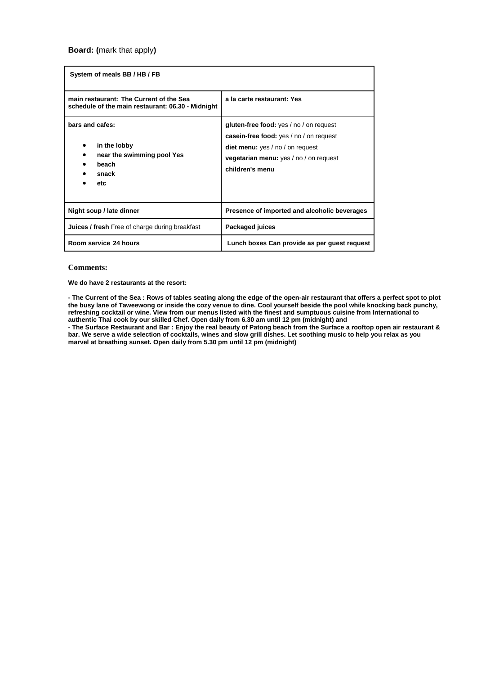| System of meals BB / HB / FB                                                                 |                                                                                                                                                                                            |
|----------------------------------------------------------------------------------------------|--------------------------------------------------------------------------------------------------------------------------------------------------------------------------------------------|
| main restaurant: The Current of the Sea<br>schedule of the main restaurant: 06.30 - Midnight | a la carte restaurant: Yes                                                                                                                                                                 |
| bars and cafes:<br>in the lobby<br>near the swimming pool Yes<br>beach<br>snack<br>etc       | gluten-free food: yes / no / on request<br>casein-free food: yes / no / on request<br><b>diet menu:</b> yes / no / on request<br>vegetarian menu: yes / no / on request<br>children's menu |
| Night soup / late dinner                                                                     | Presence of imported and alcoholic beverages                                                                                                                                               |
| <b>Juices / fresh</b> Free of charge during breakfast                                        | Packaged juices                                                                                                                                                                            |
| Room service 24 hours                                                                        | Lunch boxes Can provide as per guest request                                                                                                                                               |

#### **Comments:**

**We do have 2 restaurants at the resort:**

**- The Current of the Sea : Rows of tables seating along the edge of the open-air restaurant that offers a perfect spot to plot the busy lane of Taweewong or inside the cozy venue to dine. Cool yourself beside the pool while knocking back punchy, refreshing cocktail or wine. View from our menus listed with the finest and sumptuous cuisine from International to authentic Thai cook by our skilled Chef. Open daily from 6.30 am until 12 pm (midnight) and**

**- The Surface Restaurant and Bar : Enjoy the real beauty of Patong beach from the Surface a rooftop open air restaurant & bar. We serve a wide selection of cocktails, wines and slow grill dishes. Let soothing music to help you relax as you marvel at breathing sunset. Open daily from 5.30 pm until 12 pm (midnight)**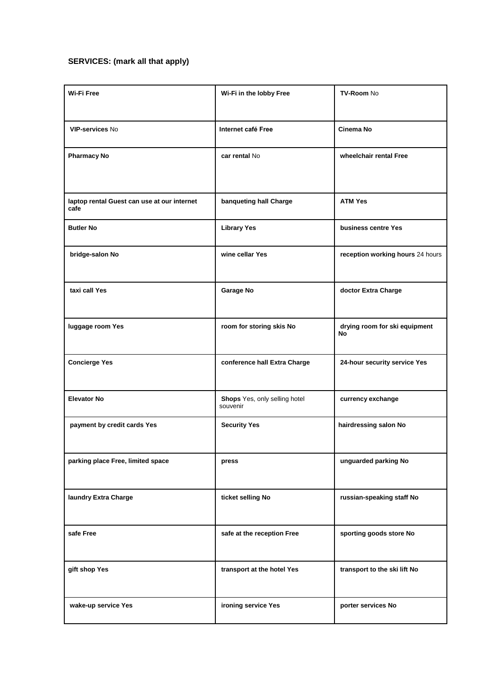# **SERVICES: (mark all that apply)**

| Wi-Fi Free                                          | Wi-Fi in the lobby Free                   | <b>TV-Room No</b>                   |
|-----------------------------------------------------|-------------------------------------------|-------------------------------------|
| <b>VIP-services No</b>                              | Internet café Free                        | Cinema No                           |
| <b>Pharmacy No</b>                                  | car rental No                             | wheelchair rental Free              |
| laptop rental Guest can use at our internet<br>cafe | banqueting hall Charge                    | <b>ATM Yes</b>                      |
| <b>Butler No</b>                                    | <b>Library Yes</b>                        | business centre Yes                 |
| bridge-salon No                                     | wine cellar Yes                           | reception working hours 24 hours    |
| taxi call Yes                                       | Garage No                                 | doctor Extra Charge                 |
| luggage room Yes                                    | room for storing skis No                  | drying room for ski equipment<br>No |
| <b>Concierge Yes</b>                                | conference hall Extra Charge              | 24-hour security service Yes        |
| <b>Elevator No</b>                                  | Shops Yes, only selling hotel<br>souvenir | currency exchange                   |
| payment by credit cards Yes                         | <b>Security Yes</b>                       | hairdressing salon No               |
| parking place Free, limited space                   | press                                     | unguarded parking No                |
| laundry Extra Charge                                | ticket selling No                         | russian-speaking staff No           |
| safe Free                                           | safe at the reception Free                | sporting goods store No             |
| gift shop Yes                                       | transport at the hotel Yes                | transport to the ski lift No        |
| wake-up service Yes                                 | ironing service Yes                       | porter services No                  |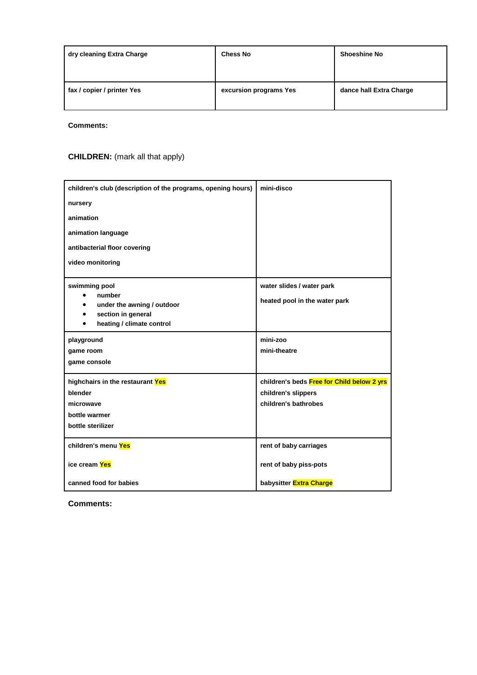| dry cleaning Extra Charge  | <b>Chess No</b>        | <b>Shoeshine No</b>     |
|----------------------------|------------------------|-------------------------|
| fax / copier / printer Yes | excursion programs Yes | dance hall Extra Charge |

**Comments:**

# **CHILDREN:** (mark all that apply)

| children's club (description of the programs, opening hours) | mini-disco                                 |
|--------------------------------------------------------------|--------------------------------------------|
| nursery                                                      |                                            |
| animation                                                    |                                            |
| animation language                                           |                                            |
| antibacterial floor covering                                 |                                            |
| video monitoring                                             |                                            |
| swimming pool                                                | water slides / water park                  |
| number<br>under the awning / outdoor                         | heated pool in the water park              |
| section in general<br>٠                                      |                                            |
| heating / climate control<br>٠                               |                                            |
| playground                                                   | mini-zoo                                   |
| game room                                                    | mini-theatre                               |
| game console                                                 |                                            |
| highchairs in the restaurant Yes                             | children's beds Free for Child below 2 yrs |
| blender                                                      | children's slippers                        |
| microwave                                                    | children's bathrobes                       |
| bottle warmer                                                |                                            |
| bottle sterilizer                                            |                                            |
| children's menu Yes                                          | rent of baby carriages                     |
| ice cream Yes                                                | rent of baby piss-pots                     |
| canned food for babies                                       | babysitter Extra Charge                    |